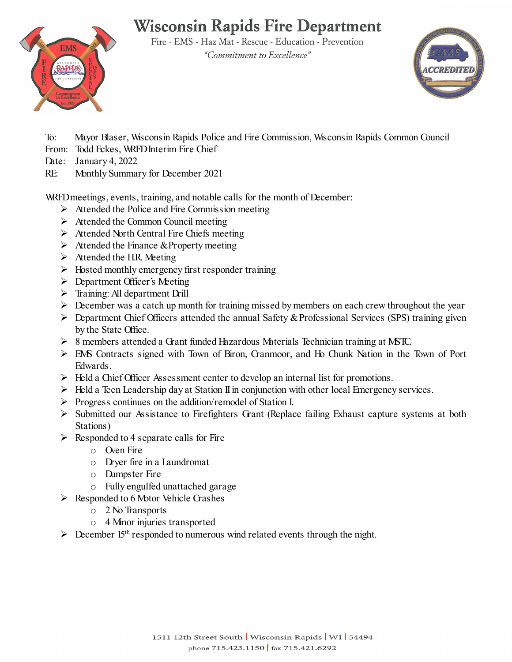# **Wisconsin Rapids Fire Department**

Fire - EMS - Haz Mat - Rescue - Education - Prevention "Commitment to Excellence"





To: Mayor Blaser, Wisconsin Rapids Police and Fire Commission, Wisconsin Rapids Common Council

- From: Todd Eckes, WRFD Interim Fire Chief
- Date: January 4, 2022
- RE: Monthly Summary for December 2021

WRFDmeetings, events, training, and notable calls for the month of December:

- $\triangleright$  Attended the Police and Fire Commission meeting
- $\triangleright$  Attended the Common Council meeting
- $\triangleright$  Attended North Central Fire Chiefs meeting
- $\triangleright$  Attended the Finance & Property meeting
- $\triangleright$  Attended the HR. Meeting
- $\triangleright$  Hosted monthly emergency first responder training
- $\triangleright$  Department Officer's Meeting
- $\triangleright$  Training: All department Drill
- $\triangleright$  December was a catch up month for training missed by members on each crew throughout the year
- $\triangleright$  Department Chief Officers attended the annual Safety & Professional Services (SPS) training given by the State Office.
- 8 members attended a Grant funded Hazardous Materials Technician training at MSTC.
- EMS Contracts signed with Town of Biron, Cranmoor, and Ho Chunk Nation in the Town of Port Edwards.
- $\triangleright$  Held a Chief Officer Assessment center to develop an internal list for promotions.
- $\triangleright$  Held a Teen Leadership day at Station II in conjunction with other local Emergency services.
- Progress continues on the addition/remodel of Station I.
- $\triangleright$  Submitted our Assistance to Firefighters Grant (Replace failing Exhaust capture systems at both Stations)
- $\triangleright$  Responded to 4 separate calls for Fire
	- o Oven Fire
	- o Dryer fire in a Laundromat
	- o Dumpster Fire
	- o Fully engulfed unattached garage
- $\triangleright$  Responded to 6 Motor Vehicle Grashes
	- o 2 No Transports
	- o 4 Minor injuries transported
- $\triangleright$  December 15<sup>th</sup> responded to numerous wind related events through the night.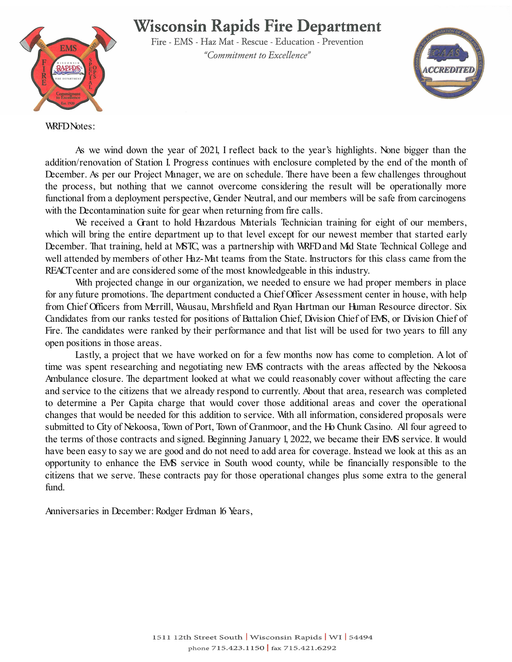### **Wisconsin Rapids Fire Department**



Fire - EMS - Haz Mat - Rescue - Education - Prevention "Commitment to Excellence"



WRFD Notes:

As we wind down the year of 2021, I reflect back to the year's highlights. None bigger than the addition/renovation of Station I. Progress continues with enclosure completed by the end of the month of December. As per our Project Manager, we are on schedule. There have been a few challenges throughout the process, but nothing that we cannot overcome considering the result will be operationally more functional from a deployment perspective, Gender Neutral, and our members will be safe from carcinogens with the Decontamination suite for gear when returning from fire calls.

We received a Grant to hold Hazardous Materials Technician training for eight of our members, which will bring the entire department up to that level except for our newest member that started early December. That training, held at MSTC, was a partnership with WRFD and Mid State Technical College and well attended by members of other Haz-Mat teams from the State. Instructors for this class came from the REACT center and are considered some of the most knowledgeable in this industry.

With projected change in our organization, we needed to ensure we had proper members in place for any future promotions. The department conducted a Chief Officer Assessment center in house, with help from Chief Officers from Merrill, Wausau, Marshfield and Ryan Hartman our Human Resource director. Six Candidates from our ranks tested for positions of Battalion Chief, Division Chief of EMS, or Division Chief of Fire. The candidates were ranked by their performance and that list will be used for two years to fill any open positions in those areas.

Lastly, a project that we have worked on for a few months now has come to completion. A lot of time was spent researching and negotiating new EMS contracts with the areas affected by the Nekoosa Ambulance closure. The department looked at what we could reasonably cover without affecting the care and service to the citizens that we already respond to currently. About that area, research was completed to determine a Per Capita charge that would cover those additional areas and cover the operational changes that would be needed for this addition to service. With all information, considered proposals were submitted to City of Nekoosa, Town of Port, Town of Cranmoor, and the Ho Chunk Casino. All four agreed to the terms of those contracts and signed. Beginning January 1, 2022, we became their EMS service. It would have been easy to say we are good and do not need to add area for coverage. Instead we look at this as an opportunity to enhance the EMS service in South wood county, while be financially responsible to the citizens that we serve. These contracts pay for those operational changes plus some extra to the general fund.

Anniversaries in December: Rodger Erdman 16 Years,